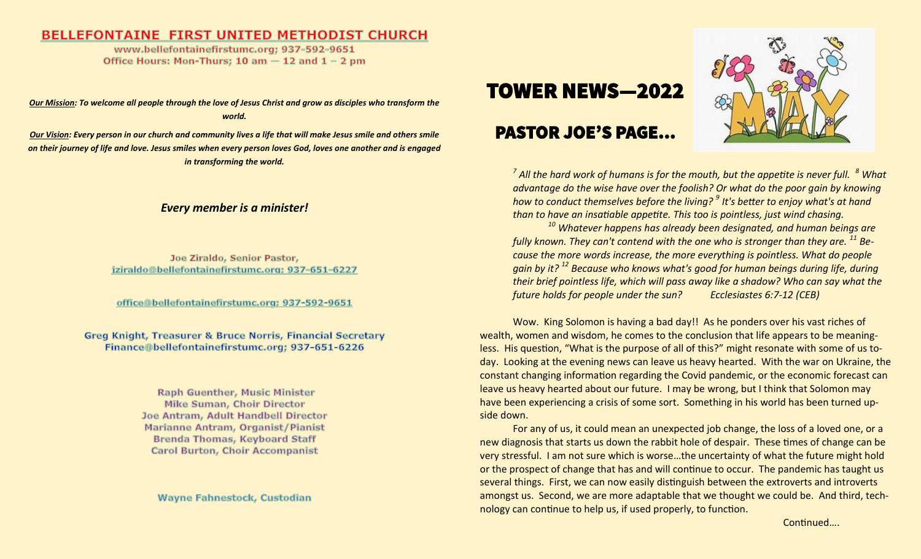#### **BELLEFONTAINE FIRST UNITED METHODIST CHURCH**

www.bellefontainefirstumc.org; 937-592-9651 Office Hours: Mon-Thurs; 10 am  $-$  12 and 1 - 2 pm

*Our Mission: To welcome all people through the love of Jesus Christ and grow as disciples who transform the world.*

*Our Vision: Every person in our church and community lives a life that will make Jesus smile and others smile on their journey of life and love. Jesus smiles when every person loves God, loves one another and is engaged in transforming the world.* 

#### *Every member is a minister!*

Joe Ziraldo, Senior Pastor, jziraldo@bellefontainefirstumc.org; 937-651-6227

office@bellefontainefirstumc.org; 937-592-9651

**Greg Knight, Treasurer & Bruce Norris, Financial Secretary** Finance@bellefontainefirstumc.org; 937-651-6226

> **Raph Guenther, Music Minister Mike Suman, Choir Director** Joe Antram, Adult Handbell Director Marianne Antram, Organist/Pianist **Brenda Thomas, Keyboard Staff Carol Burton, Choir Accompanist**

Wayne Fahnestock, Custodian

# **TOWER NEWS—2022**

# **PASTOR JOE'S PAGE...**



*7 All the hard work of humans is for the mouth, but the appetite is never full. <sup>8</sup> What advantage do the wise have over the foolish? Or what do the poor gain by knowing how to conduct themselves before the living? <sup>9</sup> It's better to enjoy what's at hand than to have an insatiable appetite. This too is pointless, just wind chasing.*

*<sup>10</sup> Whatever happens has already been designated, and human beings are fully known. They can't contend with the one who is stronger than they are. <sup>11</sup> Because the more words increase, the more everything is pointless. What do people gain by it? <sup>12</sup> Because who knows what's good for human beings during life, during their brief pointless life, which will pass away like a shadow? Who can say what the future holds for people under the sun? Ecclesiastes 6:7-12 (CEB)*

Wow. King Solomon is having a bad day!! As he ponders over his vast riches of wealth, women and wisdom, he comes to the conclusion that life appears to be meaningless. His question, "What is the purpose of all of this?" might resonate with some of us today. Looking at the evening news can leave us heavy hearted. With the war on Ukraine, the constant changing information regarding the Covid pandemic, or the economic forecast can leave us heavy hearted about our future. I may be wrong, but I think that Solomon may have been experiencing a crisis of some sort. Something in his world has been turned upside down.

For any of us, it could mean an unexpected job change, the loss of a loved one, or a new diagnosis that starts us down the rabbit hole of despair. These times of change can be very stressful. I am not sure which is worse…the uncertainty of what the future might hold or the prospect of change that has and will continue to occur. The pandemic has taught us several things. First, we can now easily distinguish between the extroverts and introverts amongst us. Second, we are more adaptable that we thought we could be. And third, technology can continue to help us, if used properly, to function.

Continued….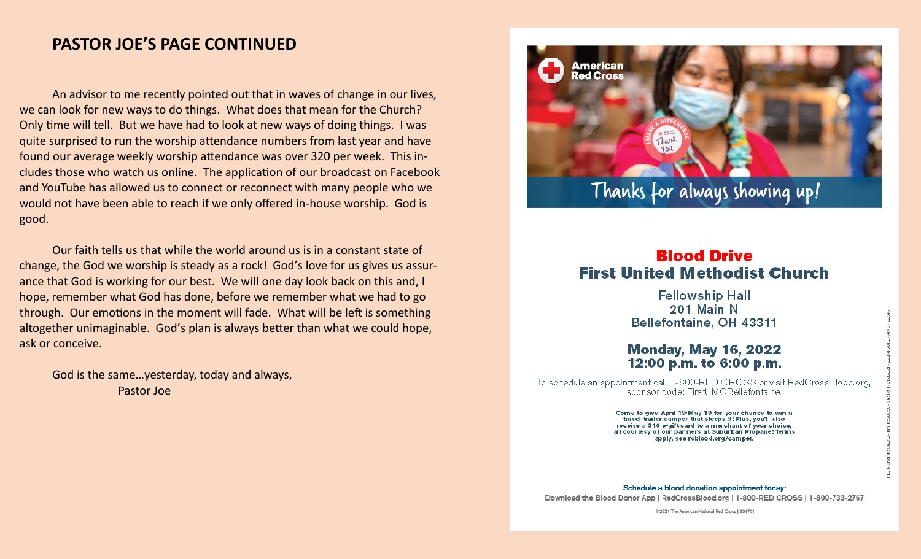# **PASTOR JOE'S PAGE CONTINUED**

An advisor to me recently pointed out that in waves of change in our lives, we can look for new ways to do things. What does that mean for the Church? Only time will tell. But we have had to look at new ways of doing things. I was quite surprised to run the worship attendance numbers from last year and have found our average weekly worship attendance was over 320 per week. This includes those who watch us online. The application of our broadcast on Facebook and YouTube has allowed us to connect or reconnect with many people who we would not have been able to reach if we only offered in-house worship. God is good.

Our faith tells us that while the world around us is in a constant state of change, the God we worship is steady as a rock! God's love for us gives us assurance that God is working for our best. We will one day look back on this and, I hope, remember what God has done, before we remember what we had to go through. Our emotions in the moment will fade. What will be left is something altogether unimaginable. God's plan is always better than what we could hope, ask or conceive.

God is the same…yesterday, today and always, Pastor Joe



## **Blood Drive First United Methodist Church**

**Fellowship Hall** 201 Main N Bellefontaine, OH 43311

#### **Monday, May 16, 2022** 12:00 p.m. to 6:00 p.m.

To schedule an appointment call 1-800-RED CROSS or visit RedCrossBlood.org, sponsor code: FirstUMCBellefontaine.

> Come to give April 19-May 19 for your chance to win a travel trailer camper that sleeps 8! Plus, you'll also receive a \$10 e-gift card to a merchant of your choice. all courtesy of our partners at Suburban Propane! Terms apply, see roblood.org/camper.

Schedule a blood donation appointment today: Download the Blood Donor App | RedCrossBlood.org | 1-800-RED CROSS | 1-800-733-2767

© 2021 The American National Red Cross | 334701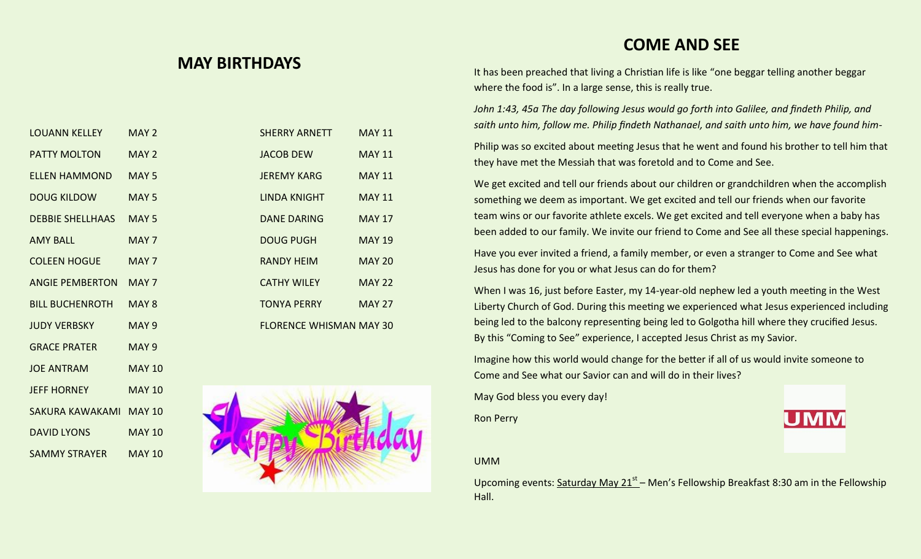## **MAY BIRTHDAYS**

It has been preached that living a Christian life is like "one beggar telling another beggar where the food is". In a large sense, this is really true.

**COME AND SEE**

*John 1:43, 45a The day following Jesus would go forth into Galilee, and findeth Philip, and saith unto him, follow me. Philip findeth Nathanael, and saith unto him, we have found him-*

Philip was so excited about meeting Jesus that he went and found his brother to tell him that they have met the Messiah that was foretold and to Come and See.

We get excited and tell our friends about our children or grandchildren when the accomplish something we deem as important. We get excited and tell our friends when our favorite team wins or our favorite athlete excels. We get excited and tell everyone when a baby has been added to our family. We invite our friend to Come and See all these special happenings.

Have you ever invited a friend, a family member, or even a stranger to Come and See what Jesus has done for you or what Jesus can do for them?

When I was 16, just before Easter, my 14-year-old nephew led a youth meeting in the West Liberty Church of God. During this meeting we experienced what Jesus experienced including being led to the balcony representing being led to Golgotha hill where they crucified Jesus. By this "Coming to See" experience, I accepted Jesus Christ as my Savior.

Imagine how this world would change for the better if all of us would invite someone to Come and See what our Savior can and will do in their lives?

May God bless you every day!

Ron Perry

UMM

Upcoming events: Saturday May 21<sup>st</sup> – Men's Fellowship Breakfast 8:30 am in the Fellowship Hall.

| <b>LOUANN KELLEY</b>    | MAY 2            | <b>SHERRY ARNETT</b>           | <b>MAY 11</b> |
|-------------------------|------------------|--------------------------------|---------------|
| <b>PATTY MOLTON</b>     | MAY 2            | <b>JACOB DEW</b>               | <b>MAY 11</b> |
| <b>ELLEN HAMMOND</b>    | MAY <sub>5</sub> | <b>JEREMY KARG</b>             | <b>MAY 11</b> |
| <b>DOUG KILDOW</b>      | MAY <sub>5</sub> | <b>LINDA KNIGHT</b>            | <b>MAY 11</b> |
| <b>DEBBIE SHELLHAAS</b> | MAY <sub>5</sub> | <b>DANE DARING</b>             | <b>MAY 17</b> |
| <b>AMY BALL</b>         | MAY <sub>7</sub> | <b>DOUG PUGH</b>               | <b>MAY 19</b> |
| <b>COLEEN HOGUE</b>     | MAY <sub>7</sub> | <b>RANDY HEIM</b>              | <b>MAY 20</b> |
| <b>ANGIE PEMBERTON</b>  | MAY <sub>7</sub> | <b>CATHY WILEY</b>             | <b>MAY 22</b> |
| <b>BILL BUCHENROTH</b>  | MAY <sub>8</sub> | <b>TONYA PERRY</b>             | <b>MAY 27</b> |
| <b>JUDY VERBSKY</b>     | MAY <sub>9</sub> | <b>FLORENCE WHISMAN MAY 30</b> |               |
| <b>GRACE PRATER</b>     | MAY <sub>9</sub> |                                |               |
| <b>JOE ANTRAM</b>       | <b>MAY 10</b>    |                                |               |
| <b>JEFF HORNEY</b>      | <b>MAY 10</b>    |                                |               |
| SAKURA KAWAKAMI MAY 10  |                  |                                |               |
| <b>DAVID LYONS</b>      | <b>MAY 10</b>    |                                |               |
| SAMMY STRAYER           | <b>MAY 10</b>    |                                |               |

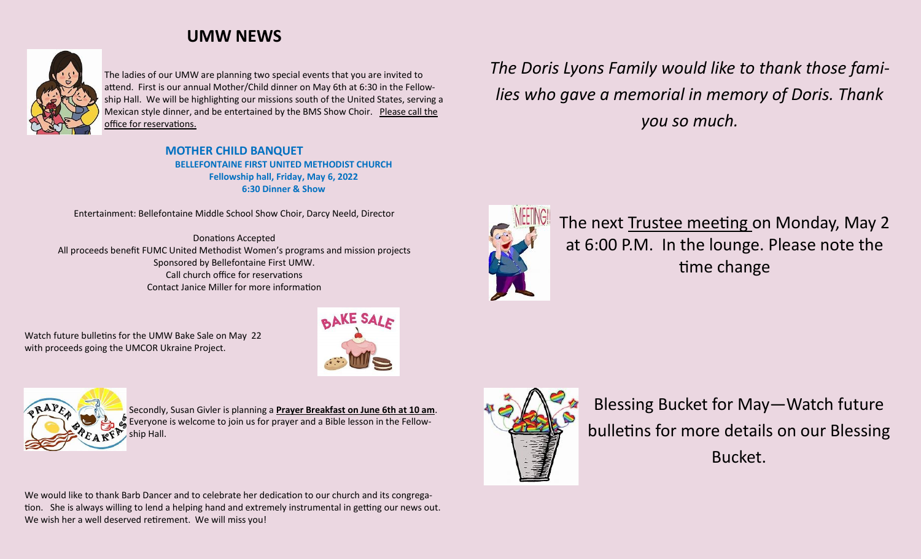# **UMW NEWS**



The ladies of our UMW are planning two special events that you are invited to attend. First is our annual Mother/Child dinner on May 6th at 6:30 in the Fellowship Hall. We will be highlighting our missions south of the United States, serving a Mexican style dinner, and be entertained by the BMS Show Choir. Please call the office for reservations.

> **MOTHER CHILD BANQUET BELLEFONTAINE FIRST UNITED METHODIST CHURCH Fellowship hall, Friday, May 6, 2022 6:30 Dinner & Show**

Entertainment: Bellefontaine Middle School Show Choir, Darcy Neeld, Director

Donations Accepted All proceeds benefit FUMC United Methodist Women's programs and mission projects Sponsored by Bellefontaine First UMW. Call church office for reservations Contact Janice Miller for more information

Watch future bulletins for the UMW Bake Sale on May 22 with proceeds going the UMCOR Ukraine Project.





Secondly, Susan Givler is planning a **Prayer Breakfast on June 6th at 10 am**. Everyone is welcome to join us for prayer and a Bible lesson in the Fellowship Hall.

We would like to thank Barb Dancer and to celebrate her dedication to our church and its congregation. She is always willing to lend a helping hand and extremely instrumental in getting our news out. We wish her a well deserved retirement. We will miss you!

*The Doris Lyons Family would like to thank those families who gave a memorial in memory of Doris. Thank you so much.*



The next Trustee meeting on Monday, May 2 at 6:00 P.M. In the lounge. Please note the time change



Blessing Bucket for May—Watch future bulletins for more details on our Blessing Bucket.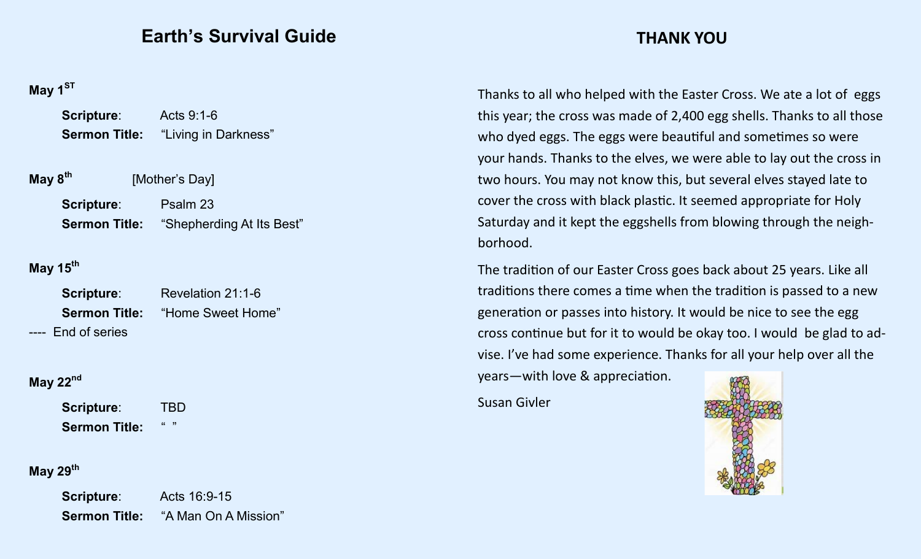# **Earth's Survival Guide**

# **May 1ST**

| Scripture: | Acts 9:1-6                                |  |  |
|------------|-------------------------------------------|--|--|
|            | <b>Sermon Title:</b> "Living in Darkness" |  |  |
|            |                                           |  |  |

| May 8 <sup>th</sup> | [Mother's Day]                                 |
|---------------------|------------------------------------------------|
| Scripture:          | Psalm 23                                       |
|                     | <b>Sermon Title:</b> "Shepherding At Its Best" |

# **May 15th**

| Scripture:         | Revelation 21:1-6                      |
|--------------------|----------------------------------------|
|                    | <b>Sermon Title:</b> "Home Sweet Home" |
| ---- End of series |                                        |

# **May 22nd**

**Scripture**: TBD **Sermon Title:** " "

# **May 29th**

| <b>Scripture:</b>    | Acts 16:9-15         |  |  |
|----------------------|----------------------|--|--|
| <b>Sermon Title:</b> | "A Man On A Mission" |  |  |

# **THANK YOU**

Thanks to all who helped with the Easter Cross. We ate a lot of eggs this year; the cross was made of 2,400 egg shells. Thanks to all those who dyed eggs. The eggs were beautiful and sometimes so were your hands. Thanks to the elves, we were able to lay out the cross in two hours. You may not know this, but several elves stayed late to cover the cross with black plastic. It seemed appropriate for Holy Saturday and it kept the eggshells from blowing through the neighborhood.

The tradition of our Easter Cross goes back about 25 years. Like all traditions there comes a time when the tradition is passed to a new generation or passes into history. It would be nice to see the egg cross continue but for it to would be okay too. I would be glad to advise. I've had some experience. Thanks for all your help over all the years—with love & appreciation.

Susan Givler